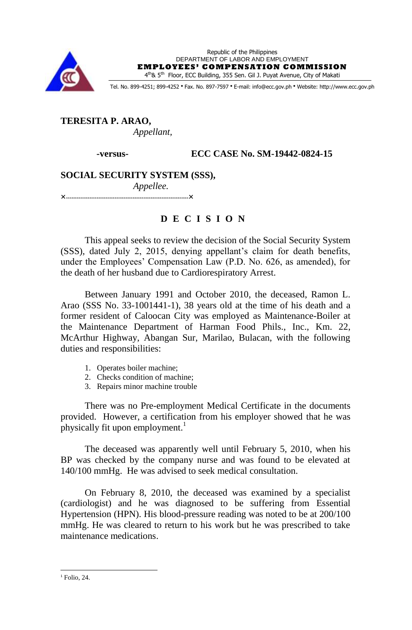

Republic of the Philippines DEPARTMENT OF LABOR AND EMPLOYMENT **EMPLOYEES' COMPENSATION COMMISSION** 4<sup>th</sup>& 5<sup>th</sup> Floor, ECC Building, 355 Sen. Gil J. Puyat Avenue, City of Makati

Tel. No. 899-4251; 899-4252 · Fax. No. 897-7597 · E-mail: info@ecc.gov.ph · Website: http://www.ecc.gov.ph

# **TERESITA P. ARAO,** *Appellant,*

 **-versus- ECC CASE No. SM-19442-0824-15**

# **SOCIAL SECURITY SYSTEM (SSS),** *Appellee.*

**××**

# **D E C I S I O N**

This appeal seeks to review the decision of the Social Security System (SSS), dated July 2, 2015, denying appellant's claim for death benefits, under the Employees' Compensation Law (P.D. No. 626, as amended), for the death of her husband due to Cardiorespiratory Arrest.

Between January 1991 and October 2010, the deceased, Ramon L. Arao (SSS No. 33-1001441-1), 38 years old at the time of his death and a former resident of Caloocan City was employed as Maintenance-Boiler at the Maintenance Department of Harman Food Phils., Inc., Km. 22, McArthur Highway, Abangan Sur, Marilao, Bulacan, with the following duties and responsibilities:

- 1. Operates boiler machine;
- 2. Checks condition of machine;
- 3. Repairs minor machine trouble

There was no Pre-employment Medical Certificate in the documents provided. However, a certification from his employer showed that he was physically fit upon employment.<sup>1</sup>

The deceased was apparently well until February 5, 2010, when his BP was checked by the company nurse and was found to be elevated at 140/100 mmHg. He was advised to seek medical consultation.

On February 8, 2010, the deceased was examined by a specialist (cardiologist) and he was diagnosed to be suffering from Essential Hypertension (HPN). His blood-pressure reading was noted to be at 200/100 mmHg. He was cleared to return to his work but he was prescribed to take maintenance medications.

1

 $<sup>1</sup>$  Folio, 24.</sup>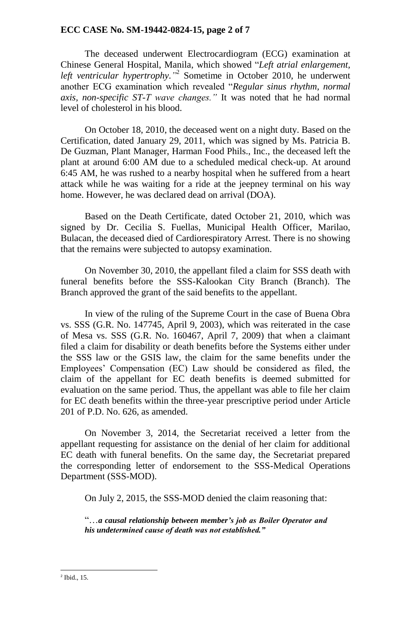# **ECC CASE No. SM-19442-0824-15, page 2 of 7**

The deceased underwent Electrocardiogram (ECG) examination at Chinese General Hospital, Manila, which showed "*Left atrial enlargement,*  left ventricular hypertrophy.<sup>"2</sup> Sometime in October 2010, he underwent another ECG examination which revealed "*Regular sinus rhythm, normal axis, non-specific ST-T wave changes."* It was noted that he had normal level of cholesterol in his blood.

On October 18, 2010, the deceased went on a night duty. Based on the Certification, dated January 29, 2011, which was signed by Ms. Patricia B. De Guzman, Plant Manager, Harman Food Phils., Inc., the deceased left the plant at around 6:00 AM due to a scheduled medical check-up. At around 6:45 AM, he was rushed to a nearby hospital when he suffered from a heart attack while he was waiting for a ride at the jeepney terminal on his way home. However, he was declared dead on arrival (DOA).

Based on the Death Certificate, dated October 21, 2010, which was signed by Dr. Cecilia S. Fuellas, Municipal Health Officer, Marilao, Bulacan, the deceased died of Cardiorespiratory Arrest. There is no showing that the remains were subjected to autopsy examination.

On November 30, 2010, the appellant filed a claim for SSS death with funeral benefits before the SSS-Kalookan City Branch (Branch). The Branch approved the grant of the said benefits to the appellant.

In view of the ruling of the Supreme Court in the case of Buena Obra vs. SSS (G.R. No. 147745, April 9, 2003), which was reiterated in the case of Mesa vs. SSS (G.R. No. 160467, April 7, 2009) that when a claimant filed a claim for disability or death benefits before the Systems either under the SSS law or the GSIS law, the claim for the same benefits under the Employees' Compensation (EC) Law should be considered as filed, the claim of the appellant for EC death benefits is deemed submitted for evaluation on the same period. Thus, the appellant was able to file her claim for EC death benefits within the three-year prescriptive period under Article 201 of P.D. No. 626, as amended.

On November 3, 2014, the Secretariat received a letter from the appellant requesting for assistance on the denial of her claim for additional EC death with funeral benefits. On the same day, the Secretariat prepared the corresponding letter of endorsement to the SSS-Medical Operations Department (SSS-MOD).

On July 2, 2015, the SSS-MOD denied the claim reasoning that:

"…*a causal relationship between member's job as Boiler Operator and his undetermined cause of death was not established."*

1

<sup>2</sup> Ibid., 15.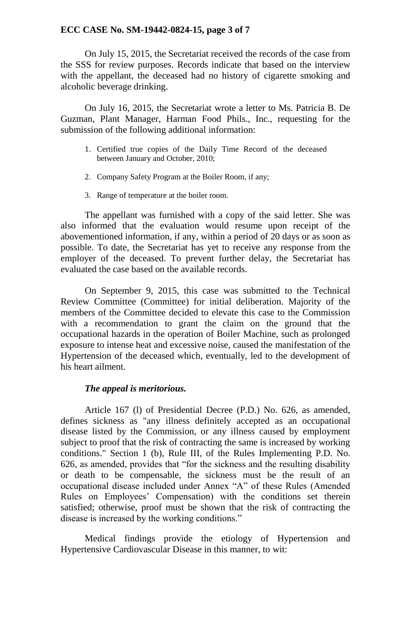## **ECC CASE No. SM-19442-0824-15, page 3 of 7**

On July 15, 2015, the Secretariat received the records of the case from the SSS for review purposes. Records indicate that based on the interview with the appellant, the deceased had no history of cigarette smoking and alcoholic beverage drinking.

On July 16, 2015, the Secretariat wrote a letter to Ms. Patricia B. De Guzman, Plant Manager, Harman Food Phils., Inc., requesting for the submission of the following additional information:

- 1. Certified true copies of the Daily Time Record of the deceased between January and October, 2010;
- 2. Company Safety Program at the Boiler Room, if any;
- 3. Range of temperature at the boiler room.

The appellant was furnished with a copy of the said letter. She was also informed that the evaluation would resume upon receipt of the abovementioned information, if any, within a period of 20 days or as soon as possible. To date, the Secretariat has yet to receive any response from the employer of the deceased. To prevent further delay, the Secretariat has evaluated the case based on the available records.

On September 9, 2015, this case was submitted to the Technical Review Committee (Committee) for initial deliberation. Majority of the members of the Committee decided to elevate this case to the Commission with a recommendation to grant the claim on the ground that the occupational hazards in the operation of Boiler Machine, such as prolonged exposure to intense heat and excessive noise, caused the manifestation of the Hypertension of the deceased which, eventually, led to the development of his heart ailment.

## *The appeal is meritorious.*

Article 167 (l) of Presidential Decree (P.D.) No. 626, as amended, defines sickness as "any illness definitely accepted as an occupational disease listed by the Commission, or any illness caused by employment subject to proof that the risk of contracting the same is increased by working conditions." Section 1 (b), Rule III, of the Rules Implementing P.D. No. 626, as amended, provides that "for the sickness and the resulting disability or death to be compensable, the sickness must be the result of an occupational disease included under Annex "A" of these Rules (Amended Rules on Employees' Compensation) with the conditions set therein satisfied; otherwise, proof must be shown that the risk of contracting the disease is increased by the working conditions."

Medical findings provide the etiology of Hypertension and Hypertensive Cardiovascular Disease in this manner, to wit: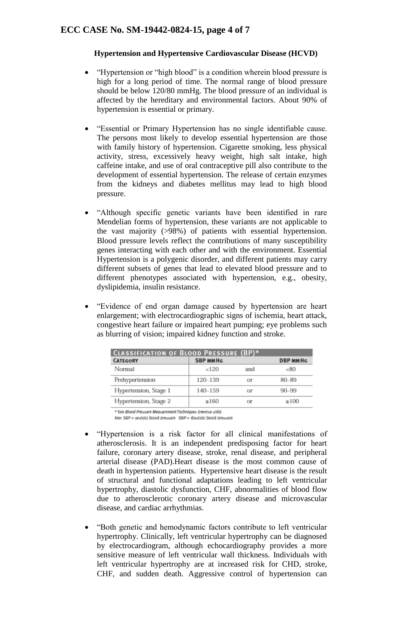#### **Hypertension and Hypertensive Cardiovascular Disease (HCVD)**

- "Hypertension or "high blood" is a condition wherein blood pressure is high for a long period of time. The normal range of blood pressure should be below 120/80 mmHg. The blood pressure of an individual is affected by the hereditary and environmental factors. About 90% of hypertension is essential or primary.
- "Essential or Primary Hypertension has no single identifiable cause. The persons most likely to develop essential hypertension are those with family history of hypertension. Cigarette smoking, less physical activity, stress, excessively heavy weight, high salt intake, high caffeine intake, and use of oral contraceptive pill also contribute to the development of essential hypertension. The release of certain enzymes from the kidneys and diabetes mellitus may lead to high blood pressure.
- "Although specific genetic variants have been identified in rare Mendelian forms of hypertension, these variants are not applicable to the vast majority (>98%) of patients with essential hypertension. Blood pressure levels reflect the contributions of many susceptibility genes interacting with each other and with the environment. Essential Hypertension is a polygenic disorder, and different patients may carry different subsets of genes that lead to elevated blood pressure and to different phenotypes associated with hypertension, e.g., obesity, dyslipidemia, insulin resistance.
- "Evidence of end organ damage caused by hypertension are heart enlargement; with electrocardiographic signs of ischemia, heart attack, congestive heart failure or impaired heart pumping; eye problems such as blurring of vision; impaired kidney function and stroke.

| <b>CLASSIFICATION OF BLOOD PRESSURE (BP)*</b> |                 |     |                 |
|-----------------------------------------------|-----------------|-----|-----------------|
| <b>CATEGORY</b>                               | <b>SBP MMHG</b> |     | <b>DBP MMHG</b> |
| Normal                                        | < 120           | and | &50             |
| Prehypertension                               | 120-139         | Of  | 80-89           |
| Hypertension, Stage 1                         | $140 - 159$     | Of  | $90 - 99$       |
| Hypertension, Stage 2                         | >160            |     | >100            |

\* See Blood Pressure Measurement Techniques (reverse side) Key: SBP = systolic blood pressure DBP = diastolic blood pressure

- "Hypertension is a risk factor for all clinical manifestations of atherosclerosis. It is an independent predisposing factor for heart failure, coronary artery disease, stroke, renal disease, and peripheral arterial disease (PAD).Heart disease is the most common cause of death in hypertension patients. Hypertensive heart disease is the result of structural and functional adaptations leading to left ventricular hypertrophy, diastolic dysfunction, CHF, abnormalities of blood flow due to atherosclerotic coronary artery disease and microvascular disease, and cardiac arrhythmias.
- "Both genetic and hemodynamic factors contribute to left ventricular hypertrophy. Clinically, left ventricular hypertrophy can be diagnosed by electrocardiogram, although echocardiography provides a more sensitive measure of left ventricular wall thickness. Individuals with left ventricular hypertrophy are at increased risk for CHD, stroke, CHF, and sudden death. Aggressive control of hypertension can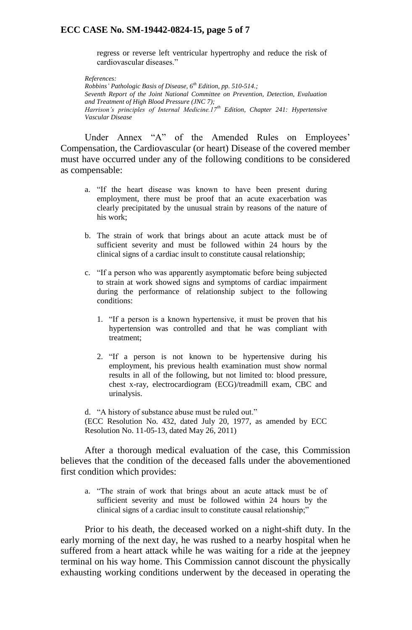### **ECC CASE No. SM-19442-0824-15, page 5 of 7**

regress or reverse left ventricular hypertrophy and reduce the risk of cardiovascular diseases."

*References: Robbins' Pathologic Basis of Disease, 6th Edition, pp. 510-514.; Seventh Report of the Joint National Committee on Prevention, Detection, Evaluation and Treatment of High Blood Pressure (JNC 7); Harrison's principles of Internal Medicine.17th Edition, Chapter 241: Hypertensive Vascular Disease*

Under Annex "A" of the Amended Rules on Employees' Compensation, the Cardiovascular (or heart) Disease of the covered member must have occurred under any of the following conditions to be considered as compensable:

- a. "If the heart disease was known to have been present during employment, there must be proof that an acute exacerbation was clearly precipitated by the unusual strain by reasons of the nature of his work;
- b. The strain of work that brings about an acute attack must be of sufficient severity and must be followed within 24 hours by the clinical signs of a cardiac insult to constitute causal relationship;
- c. "If a person who was apparently asymptomatic before being subjected to strain at work showed signs and symptoms of cardiac impairment during the performance of relationship subject to the following conditions:
	- 1. "If a person is a known hypertensive, it must be proven that his hypertension was controlled and that he was compliant with treatment;
	- 2. "If a person is not known to be hypertensive during his employment, his previous health examination must show normal results in all of the following, but not limited to: blood pressure, chest x-ray, electrocardiogram (ECG)/treadmill exam, CBC and urinalysis.

d. "A history of substance abuse must be ruled out." (ECC Resolution No. 432, dated July 20, 1977, as amended by ECC Resolution No. 11-05-13, dated May 26, 2011)

After a thorough medical evaluation of the case, this Commission believes that the condition of the deceased falls under the abovementioned first condition which provides:

a. "The strain of work that brings about an acute attack must be of sufficient severity and must be followed within 24 hours by the clinical signs of a cardiac insult to constitute causal relationship;"

Prior to his death, the deceased worked on a night-shift duty. In the early morning of the next day, he was rushed to a nearby hospital when he suffered from a heart attack while he was waiting for a ride at the jeepney terminal on his way home. This Commission cannot discount the physically exhausting working conditions underwent by the deceased in operating the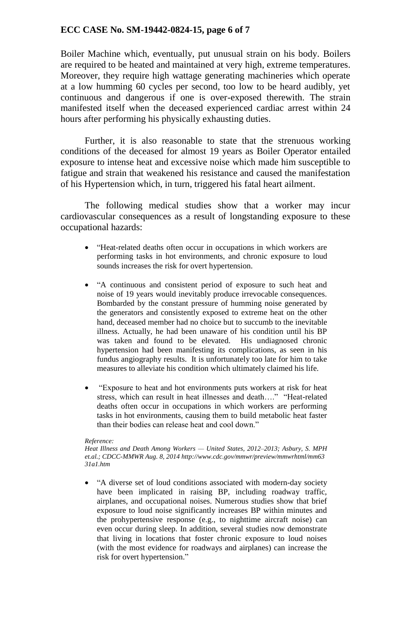# **ECC CASE No. SM-19442-0824-15, page 6 of 7**

Boiler Machine which, eventually, put unusual strain on his body. Boilers are required to be heated and maintained at very high, extreme temperatures. Moreover, they require high wattage generating machineries which operate at a low humming 60 cycles per second, too low to be heard audibly, yet continuous and dangerous if one is over-exposed therewith. The strain manifested itself when the deceased experienced cardiac arrest within 24 hours after performing his physically exhausting duties.

Further, it is also reasonable to state that the strenuous working conditions of the deceased for almost 19 years as Boiler Operator entailed exposure to intense heat and excessive noise which made him susceptible to fatigue and strain that weakened his resistance and caused the manifestation of his Hypertension which, in turn, triggered his fatal heart ailment.

The following medical studies show that a worker may incur cardiovascular consequences as a result of longstanding exposure to these occupational hazards:

- "Heat-related deaths often occur in occupations in which workers are performing tasks in hot environments, and chronic exposure to loud sounds increases the risk for overt hypertension.
- "A continuous and consistent period of exposure to such heat and noise of 19 years would inevitably produce irrevocable consequences. Bombarded by the constant pressure of humming noise generated by the generators and consistently exposed to extreme heat on the other hand, deceased member had no choice but to succumb to the inevitable illness. Actually, he had been unaware of his condition until his BP was taken and found to be elevated. His undiagnosed chronic hypertension had been manifesting its complications, as seen in his fundus angiography results. It is unfortunately too late for him to take measures to alleviate his condition which ultimately claimed his life.
- "Exposure to heat and hot environments puts workers at risk for heat stress, which can result in heat illnesses and death…." "Heat-related deaths often occur in occupations in which workers are performing tasks in hot environments, causing them to build metabolic heat faster than their bodies can release heat and cool down."

#### *Reference:*

*Heat Illness and Death Among Workers — United States, 2012–2013; Asbury, S. MPH et.al.; CDCC-MMWR Aug. 8, 2014 http://www.cdc.gov/mmwr/preview/mmwrhtml/mm63 31a1.htm*

 "A diverse set of loud conditions associated with modern-day society have been implicated in raising BP, including roadway traffic, airplanes, and occupational noises. Numerous studies show that brief exposure to loud noise significantly increases BP within minutes and the prohypertensive response (e.g., to nighttime aircraft noise) can even occur during sleep. In addition, several studies now demonstrate that living in locations that foster chronic exposure to loud noises (with the most evidence for roadways and airplanes) can increase the risk for overt hypertension."